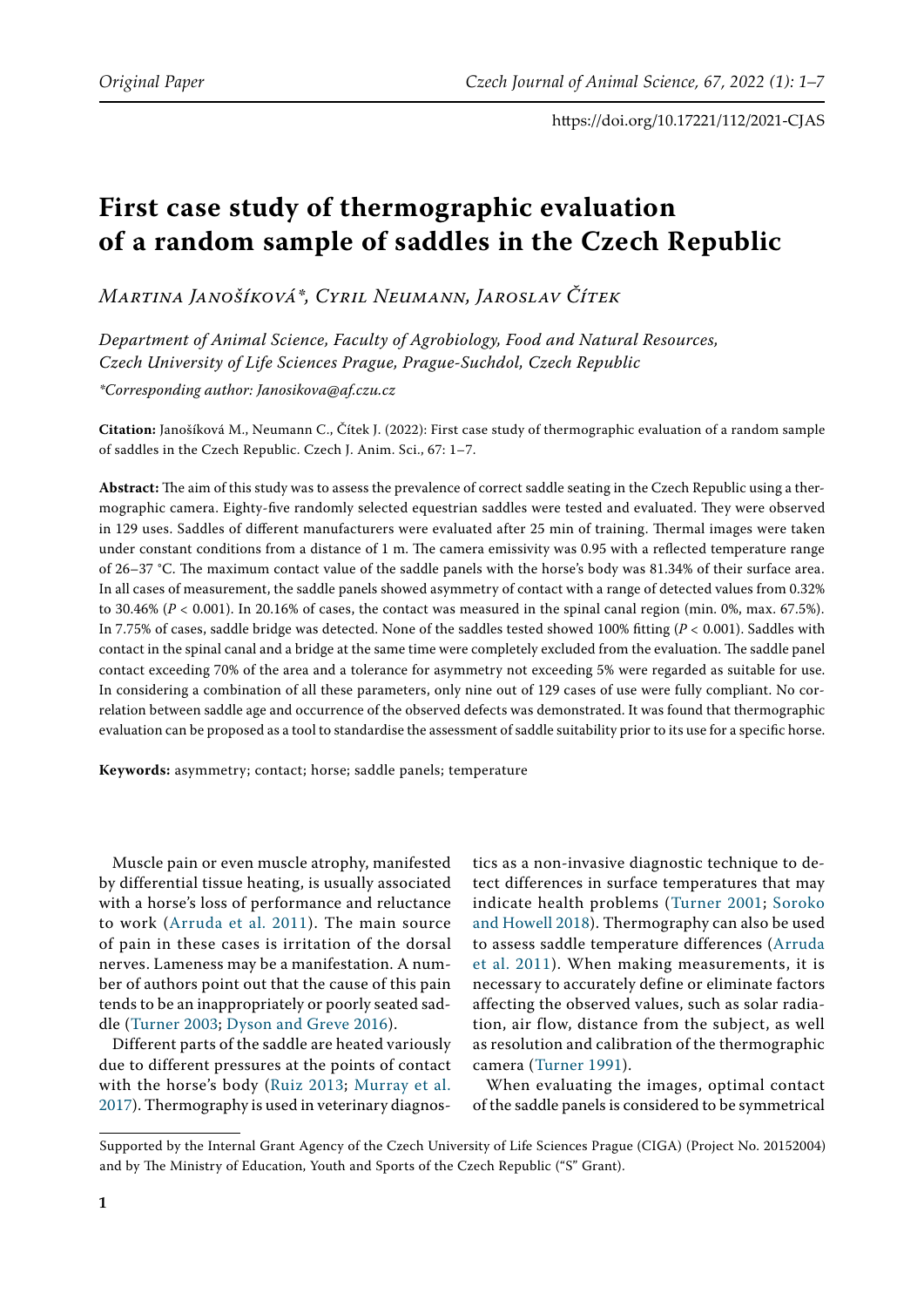# **First case study of thermographic evaluation of a random sample of saddles in the Czech Republic**

*Martina Janošíková\*, Cyril Neumann, Jaroslav Čítek*

*Department of Animal Science, Faculty of Agrobiology, Food and Natural Resources, Czech University of Life Sciences Prague, Prague-Suchdol, Czech Republic*

*\*Corresponding author: Janosikova@af.czu.cz*

**Citation:** Janošíková M., Neumann C., Čítek J. (2022): First case study of thermographic evaluation of a random sample of saddles in the Czech Republic. Czech J. Anim. Sci., 67: 1–7.

**Abstract:** The aim of this study was to assess the prevalence of correct saddle seating in the Czech Republic using a thermographic camera. Eighty-five randomly selected equestrian saddles were tested and evaluated. They were observed in 129 uses. Saddles of different manufacturers were evaluated after 25 min of training. Thermal images were taken under constant conditions from a distance of 1 m. The camera emissivity was 0.95 with a reflected temperature range of 26–37 °C. The maximum contact value of the saddle panels with the horse's body was 81.34% of their surface area. In all cases of measurement, the saddle panels showed asymmetry of contact with a range of detected values from 0.32% to 30.46% (*P <* 0.001). In 20.16% of cases, the contact was measured in the spinal canal region (min. 0%, max. 67.5%). In 7.75% of cases, saddle bridge was detected. None of the saddles tested showed 100% fitting (*P <* 0.001). Saddles with contact in the spinal canal and a bridge at the same time were completely excluded from the evaluation. The saddle panel contact exceeding 70% of the area and a tolerance for asymmetry not exceeding 5% were regarded as suitable for use. In considering a combination of all these parameters, only nine out of 129 cases of use were fully compliant. No correlation between saddle age and occurrence of the observed defects was demonstrated. It was found that thermographic evaluation can be proposed as a tool to standardise the assessment of saddle suitability prior to its use for a specific horse.

**Keywords:** asymmetry; contact; horse; saddle panels; temperature

Muscle pain or even muscle atrophy, manifested by differential tissue heating, is usually associated with a horse's loss of performance and reluctance to work ([Arruda et al. 2011\)](#page-6-2). The main source of pain in these cases is irritation of the dorsal nerves. Lameness may be a manifestation. A number of authors point out that the cause of this pain tends to be an inappropriately or poorly seated saddle ([Turner 2003;](#page-6-4) [Dyson and Greve 2016](#page-6-5)).

Different parts of the saddle are heated variously due to different pressures at the points of contact with the horse's body ([Ruiz 2013;](#page-6-6) [Murray et al.](#page-6-7)  [2017](#page-6-7)). Thermography is used in veterinary diagnos-

tics as a non-invasive diagnostic technique to detect differences in surface temperatures that may indicate health problems ([Turner 2001;](#page-6-0) [Soroko](#page-6-1) [and Howell 2018](#page-6-1)). Thermography can also be used to assess saddle temperature differences ([Arruda](#page-6-2) [et al. 2011](#page-6-2)). When making measurements, it is necessary to accurately define or eliminate factors affecting the observed values, such as solar radiation, air flow, distance from the subject, as well as resolution and calibration of the thermographic camera ([Turner 1991](#page-6-3)).

When evaluating the images, optimal contact of the saddle panels is considered to be symmetrical

Supported by the Internal Grant Agency of the Czech University of Life Sciences Prague (CIGA) (Project No. 20152004) and by The Ministry of Education, Youth and Sports of the Czech Republic ("S" Grant).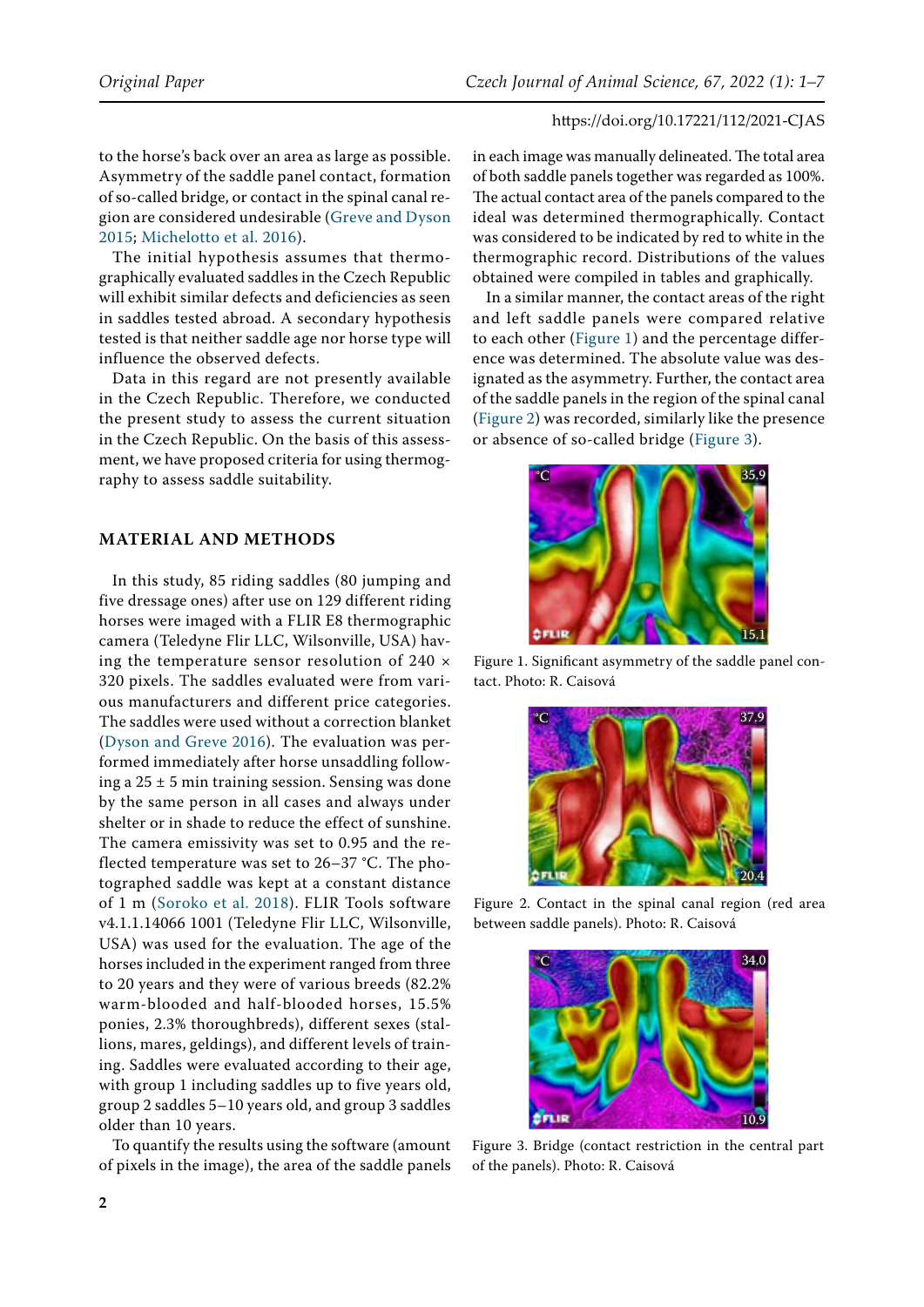to the horse's back over an area as large as possible. Asymmetry of the saddle panel contact, formation of so-called bridge, or contact in the spinal canal region are considered undesirable ([Greve and Dyson](#page-6-8)  [2015;](#page-6-8) [Michelotto et al. 2016](#page-6-9)).

The initial hypothesis assumes that thermographically evaluated saddles in the Czech Republic will exhibit similar defects and deficiencies as seen in saddles tested abroad. A secondary hypothesis tested is that neither saddle age nor horse type will influence the observed defects.

Data in this regard are not presently available in the Czech Republic. Therefore, we conducted the present study to assess the current situation in the Czech Republic. On the basis of this assessment, we have proposed criteria for using thermography to assess saddle suitability.

## **Material and methods**

In this study, 85 riding saddles (80 jumping and five dressage ones) after use on 129 different riding horses were imaged with a FLIR E8 thermographic camera (Teledyne Flir LLC, Wilsonville, USA) having the temperature sensor resolution of  $240 \times$ 320 pixels. The saddles evaluated were from various manufacturers and different price categories. The saddles were used without a correction blanket [\(Dyson and Greve 2016](#page-6-5)). The evaluation was performed immediately after horse unsaddling following a  $25 \pm 5$  min training session. Sensing was done by the same person in all cases and always under shelter or in shade to reduce the effect of sunshine. The camera emissivity was set to 0.95 and the reflected temperature was set to 26–37 °C. The photographed saddle was kept at a constant distance of 1 m ([Soroko et al. 2018](#page-6-10)). FLIR Tools software v4.1.1.14066 1001 (Teledyne Flir LLC, Wilsonville, USA) was used for the evaluation. The age of the horses included in the experiment ranged from three to 20 years and they were of various breeds (82.2% warm-blooded and half-blooded horses, 15.5% ponies, 2.3% thoroughbreds), different sexes (stallions, mares, geldings), and different levels of training. Saddles were evaluated according to their age, with group 1 including saddles up to five years old, group 2 saddles 5–10 years old, and group 3 saddles older than 10 years.

To quantify the results using the software (amount of pixels in the image), the area of the saddle panels in each image was manually delineated. The total area of both saddle panels together was regarded as 100%. The actual contact area of the panels compared to the ideal was determined thermographically. Contact was considered to be indicated by red to white in the thermographic record. Distributions of the values obtained were compiled in tables and graphically.

In a similar manner, the contact areas of the right and left saddle panels were compared relative to each other ([Figure 1\)](#page-1-0) and the percentage difference was determined. The absolute value was designated as the asymmetry. Further, the contact area of the saddle panels in the region of the spinal canal [\(Figure 2\)](#page-1-1) was recorded, similarly like the presence or absence of so-called bridge ([Figure 3\)](#page-1-2).

<span id="page-1-0"></span>

Figure 1. Significant asymmetry of the saddle panel contact. Photo: R. Caisová

<span id="page-1-1"></span>

Figure 2. Contact in the spinal canal region (red area between saddle panels). Photo: R. Caisová

<span id="page-1-2"></span>

Figure 3. Bridge (contact restriction in the central part of the panels). Photo: R. Caisová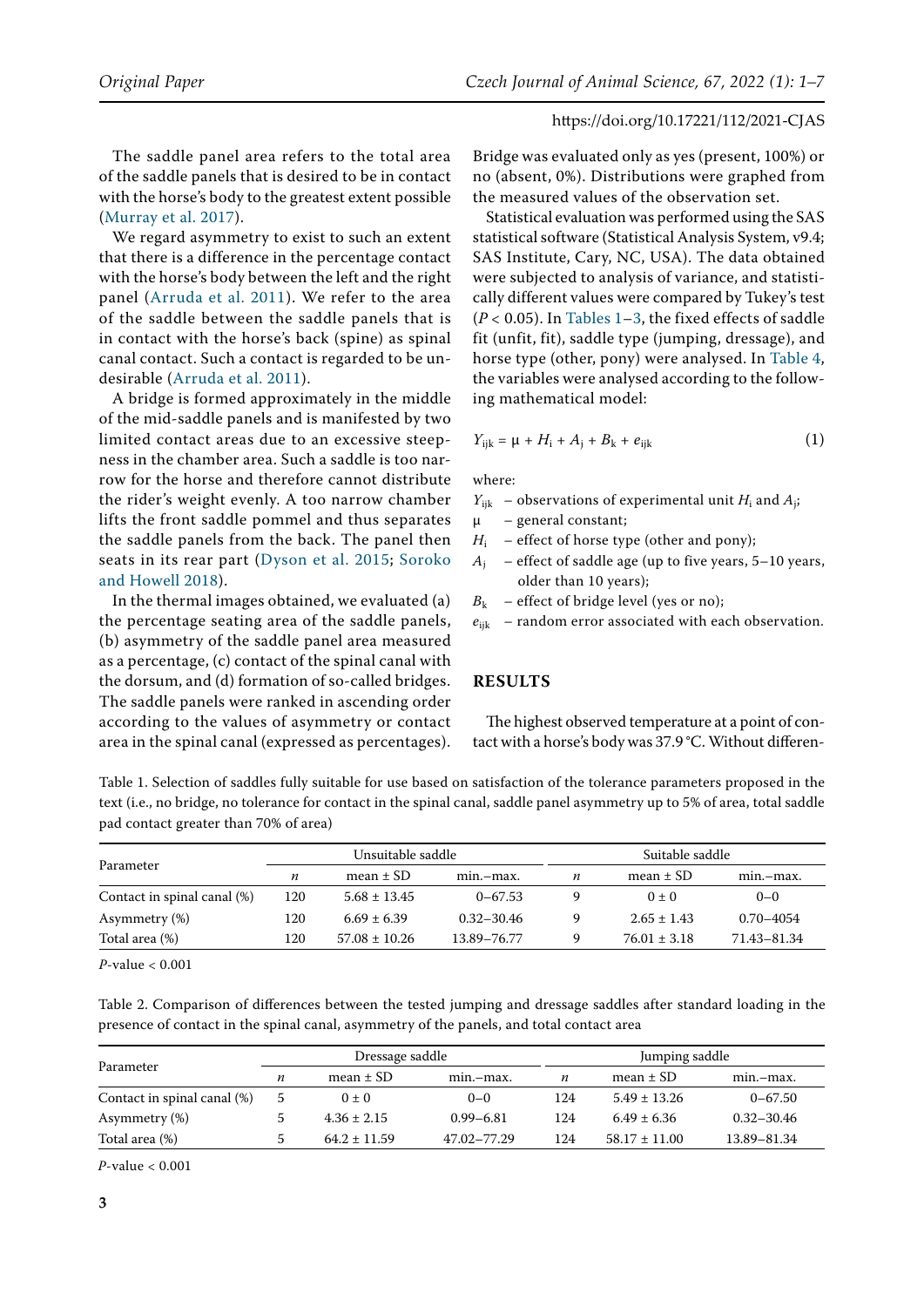The saddle panel area refers to the total area of the saddle panels that is desired to be in contact with the horse's body to the greatest extent possible [\(Murray et al. 2017](#page-6-7)).

We regard asymmetry to exist to such an extent that there is a difference in the percentage contact with the horse's body between the left and the right panel ([Arruda et al. 2011](#page-6-2)). We refer to the area of the saddle between the saddle panels that is in contact with the horse's back (spine) as spinal canal contact. Such a contact is regarded to be undesirable [\(Arruda et al. 2011](#page-6-2)).

A bridge is formed approximately in the middle of the mid-saddle panels and is manifested by two limited contact areas due to an excessive steepness in the chamber area. Such a saddle is too narrow for the horse and therefore cannot distribute the rider's weight evenly. A too narrow chamber lifts the front saddle pommel and thus separates the saddle panels from the back. The panel then seats in its rear part ([Dyson et al. 2015](#page-6-11); [Soroko](#page-6-1)  [and Howell 2018\)](#page-6-1).

In the thermal images obtained, we evaluated (a) the percentage seating area of the saddle panels, (b) asymmetry of the saddle panel area measured as a percentage, (c) contact of the spinal canal with the dorsum, and (d) formation of so-called bridges. The saddle panels were ranked in ascending order according to the values of asymmetry or contact area in the spinal canal (expressed as percentages). Bridge was evaluated only as yes (present, 100%) or no (absent, 0%). Distributions were graphed from the measured values of the observation set.

Statistical evaluation was performed using the SAS statistical software (Statistical Analysis System, v9.4; SAS Institute, Cary, NC, USA). The data obtained were subjected to analysis of variance, and statistically different values were compared by Tukey's test (*P <* 0.05). In Tables 1–3, the fixed effects of saddle fit (unfit, fit), saddle type (jumping, dressage), and horse type (other, pony) were analysed. In Table 4, the variables were analysed according to the following mathematical model:

$$
Y_{ijk} = \mu + H_i + A_j + B_k + e_{ijk}
$$
 (1)

where:

- $Y_{ijk}$  observations of experimental unit  $H_i$  and  $A_i$ ;
- μ general constant;
- $H_i$  effect of horse type (other and pony);
- $A_i$  effect of saddle age (up to five years, 5–10 years, older than 10 years);
- $B_k$  effect of bridge level (yes or no);
- $e_{ijk}$  random error associated with each observation.

#### **Results**

The highest observed temperature at a point of contact with a horse's body was 37.9 °C. Without differen-

Table 1. Selection of saddles fully suitable for use based on satisfaction of the tolerance parameters proposed in the text (i.e., no bridge, no tolerance for contact in the spinal canal, saddle panel asymmetry up to 5% of area, total saddle pad contact greater than 70% of area)

|                             |     | Unsuitable saddle |                |   | Suitable saddle  |               |  |  |  |  |  |
|-----------------------------|-----|-------------------|----------------|---|------------------|---------------|--|--|--|--|--|
| Parameter                   | n   | mean $\pm$ SD     | min.-max.      | n | mean $\pm$ SD    | min.-max.     |  |  |  |  |  |
| Contact in spinal canal (%) | 120 | $5.68 \pm 13.45$  | $0 - 67.53$    |   | $0 \pm 0$        | $0 - 0$       |  |  |  |  |  |
| Asymmetry (%)               | 120 | $6.69 \pm 6.39$   | $0.32 - 30.46$ |   | $2.65 \pm 1.43$  | $0.70 - 4054$ |  |  |  |  |  |
| Total area (%)              | 120 | $57.08 \pm 10.26$ | 13.89–76.77    |   | $76.01 \pm 3.18$ | 71.43–81.34   |  |  |  |  |  |

*P*-value < 0.001

Table 2. Comparison of differences between the tested jumping and dressage saddles after standard loading in the presence of contact in the spinal canal, asymmetry of the panels, and total contact area

| Parameter                   |               | Dressage saddle  |               |     | Jumping saddle    |                |  |  |  |  |  |
|-----------------------------|---------------|------------------|---------------|-----|-------------------|----------------|--|--|--|--|--|
|                             | n             | mean $\pm$ SD    | min.-max.     | n   | mean $\pm$ SD     | min.-max.      |  |  |  |  |  |
| Contact in spinal canal (%) | $\mathcal{D}$ | $0 \pm 0$        | $0 - 0$       | 124 | $5.49 \pm 13.26$  | $0 - 67.50$    |  |  |  |  |  |
| Asymmetry (%)               |               | $4.36 \pm 2.15$  | $0.99 - 6.81$ | 124 | $6.49 \pm 6.36$   | $0.32 - 30.46$ |  |  |  |  |  |
| Total area (%)              | $\mathcal{D}$ | $64.2 \pm 11.59$ | 47.02-77.29   | 124 | $58.17 \pm 11.00$ | 13.89-81.34    |  |  |  |  |  |

*P*-value < 0.001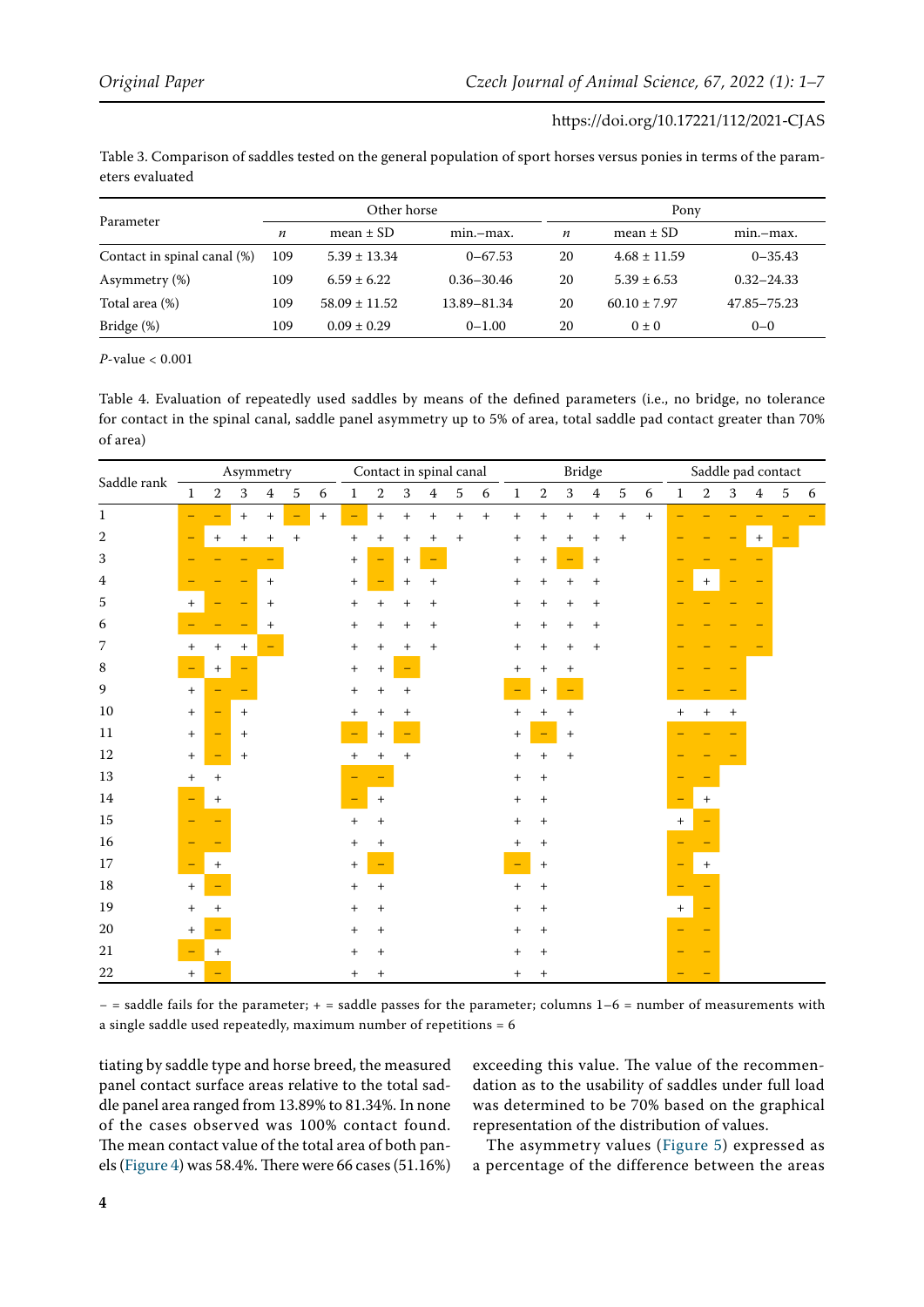| Table 3. Comparison of saddles tested on the general population of sport horses versus ponies in terms of the param- |  |
|----------------------------------------------------------------------------------------------------------------------|--|
| eters evaluated                                                                                                      |  |

|                             |                  | Other horse       |                |                  | Pony             |                |  |  |  |  |  |
|-----------------------------|------------------|-------------------|----------------|------------------|------------------|----------------|--|--|--|--|--|
| Parameter                   | $\boldsymbol{n}$ | mean $\pm$ SD     | $min-max$ .    | $\boldsymbol{n}$ | mean $\pm$ SD    | min.-max.      |  |  |  |  |  |
| Contact in spinal canal (%) | 109              | $5.39 \pm 13.34$  | $0 - 67.53$    | 20               | $4.68 \pm 11.59$ | $0 - 35.43$    |  |  |  |  |  |
| Asymmetry (%)               | 109              | $6.59 \pm 6.22$   | $0.36 - 30.46$ | 20               | $5.39 \pm 6.53$  | $0.32 - 24.33$ |  |  |  |  |  |
| Total area (%)              | 109              | $58.09 \pm 11.52$ | 13.89–81.34    | 20               | $60.10 \pm 7.97$ | 47.85–75.23    |  |  |  |  |  |
| Bridge (%)                  | 109              | $0.09 \pm 0.29$   | $0 - 1.00$     | 20               | $0 \pm 0$        | $0 - 0$        |  |  |  |  |  |

*P*-value < 0.001

Table 4. Evaluation of repeatedly used saddles by means of the defined parameters (i.e., no bridge, no tolerance for contact in the spinal canal, saddle panel asymmetry up to 5% of area, total saddle pad contact greater than 70% of area)

| Saddle rank  | Asymmetry                        |                          |                  |                                  |                          |        | Contact in spinal canal          |                  |              |                                  |        |                  | ${\bf Bridge}$                   |                                  |                                  |                                  |                  |                  | Saddle pad contact               |        |                                  |                  |                          |   |
|--------------|----------------------------------|--------------------------|------------------|----------------------------------|--------------------------|--------|----------------------------------|------------------|--------------|----------------------------------|--------|------------------|----------------------------------|----------------------------------|----------------------------------|----------------------------------|------------------|------------------|----------------------------------|--------|----------------------------------|------------------|--------------------------|---|
|              | $\mathbf{1}$                     | $\overline{2}$           | 3                | $\bf 4$                          | $\sqrt{5}$               | 6      | $\mathbf{1}$                     | $\boldsymbol{2}$ | $\mathbf{3}$ | $\overline{4}$                   | 5      | $\boldsymbol{6}$ | $1\,$                            | $\sqrt{2}$                       | $\sqrt{3}$                       | $\bf 4$                          | $\sqrt{5}$       | $\boldsymbol{6}$ | $\mathbf{1}$                     | 2      | 3                                | $\overline{4}$   | $\sqrt{5}$               | 6 |
| $\mathbf{1}$ |                                  |                          | $\, +$           | $+$                              | $\overline{\phantom{0}}$ | $^{+}$ | $\equiv$                         | $\boldsymbol{+}$ | $\ddot{}$    |                                  | $^{+}$ | $\boldsymbol{+}$ | $\boldsymbol{+}$                 | $^{+}$                           | $\boldsymbol{+}$                 | $\boldsymbol{+}$                 | $\boldsymbol{+}$ | $\boldsymbol{+}$ |                                  |        |                                  |                  |                          |   |
| 2            | $\overline{\phantom{a}}$         | $^{+}$                   | $^{+}$           | $^{+}$                           | $^{+}$                   |        | $\begin{array}{c} + \end{array}$ | $\overline{+}$   | $^{+}$       | $\begin{array}{c} + \end{array}$ | $^{+}$ |                  | $^{+}$                           | $^{+}$                           | $^{+}$                           | $^{+}$                           | $^{+}$           |                  |                                  |        |                                  | $\boldsymbol{+}$ | $\overline{\phantom{0}}$ |   |
| 3            |                                  |                          |                  |                                  |                          |        | $\! + \!\!\!\!$                  |                  | $^{+}$       |                                  |        |                  | $\! + \!\!\!\!$                  | $\,+\,$                          |                                  |                                  |                  |                  |                                  |        |                                  |                  |                          |   |
| $\bf 4$      |                                  |                          |                  | $\begin{array}{c} + \end{array}$ |                          |        | $^{+}$                           |                  | $\,^+$       | $\ddot{}$                        |        |                  | $\begin{array}{c} + \end{array}$ |                                  |                                  | $\overline{+}$                   |                  |                  |                                  | $^{+}$ |                                  |                  |                          |   |
| 5            | $+$                              |                          | ۳                | $\begin{array}{c} + \end{array}$ |                          |        | $^{+}$                           | $^{+}$           | $^{+}$       | $\begin{array}{c} + \end{array}$ |        |                  | $\boldsymbol{+}$                 | $\hspace{0.1mm} +$               | $^{+}$                           | $\begin{array}{c} + \end{array}$ |                  |                  |                                  |        |                                  |                  |                          |   |
| 6            |                                  |                          |                  | $^{+}$                           |                          |        | $^+$                             | $^{+}$           | $^{+}$       | $^{+}$                           |        |                  | $\boldsymbol{+}$                 | $^{+}$                           | $^{+}$                           | $\begin{array}{c} + \end{array}$ |                  |                  |                                  |        |                                  |                  |                          |   |
| 7            | $^{+}$                           | $\! +$                   | $\boldsymbol{+}$ |                                  |                          |        | $\boldsymbol{+}$                 | $^{+}$           | $^{+}$       | $^{+}$                           |        |                  | $\boldsymbol{+}$                 | $+$                              | $^{+}$                           | $\begin{array}{c} + \end{array}$ |                  |                  |                                  |        |                                  |                  |                          |   |
| $\,$ 8 $\,$  |                                  | $^{+}$                   | ÷                |                                  |                          |        | $\boldsymbol{+}$                 | $^{+}$           |              |                                  |        |                  | $^{+}$                           | $^{+}$                           | $^{+}$                           |                                  |                  |                  |                                  |        |                                  |                  |                          |   |
| 9            | $\, +$                           |                          |                  |                                  |                          |        | $\boldsymbol{+}$                 | $\overline{+}$   | $^{+}$       |                                  |        |                  |                                  | $\ddag$                          |                                  |                                  |                  |                  |                                  |        |                                  |                  |                          |   |
| $10\,$       | $\boldsymbol{+}$                 | $\overline{\phantom{0}}$ | $\boldsymbol{+}$ |                                  |                          |        | $^{+}$                           | $^{+}$           | $^{+}$       |                                  |        |                  | $\begin{array}{c} + \end{array}$ | $^{+}$                           | $^{+}$                           |                                  |                  |                  | $\begin{array}{c} + \end{array}$ | $^{+}$ | $\begin{array}{c} + \end{array}$ |                  |                          |   |
| $11\,$       | $\boldsymbol{+}$                 | $\equiv$                 | $\boldsymbol{+}$ |                                  |                          |        |                                  | $\overline{+}$   |              |                                  |        |                  | $^{+}$                           |                                  | $^{+}$                           |                                  |                  |                  |                                  |        |                                  |                  |                          |   |
| $12\,$       | $\begin{array}{c} + \end{array}$ |                          | $^{+}$           |                                  |                          |        | $^{+}$                           | $^{+}$           | $^{+}$       |                                  |        |                  | $^{+}$                           | $^{+}$                           | $\begin{array}{c} + \end{array}$ |                                  |                  |                  |                                  |        |                                  |                  |                          |   |
| $13\,$       | $^{+}$                           |                          |                  |                                  |                          |        |                                  |                  |              |                                  |        |                  | $^{+}$                           | $^{+}$                           |                                  |                                  |                  |                  |                                  |        |                                  |                  |                          |   |
| $14\,$       |                                  | $^{+}$                   |                  |                                  |                          |        |                                  | $^{+}$           |              |                                  |        |                  | $^{+}$                           | $\ddag$                          |                                  |                                  |                  |                  |                                  | $\pm$  |                                  |                  |                          |   |
| $15\,$       |                                  |                          |                  |                                  |                          |        | $\! +$                           | $^{+}$           |              |                                  |        |                  | $^{+}$                           | $\ddag$                          |                                  |                                  |                  |                  | $\begin{array}{c} + \end{array}$ |        |                                  |                  |                          |   |
| $16\,$       |                                  |                          |                  |                                  |                          |        | $\! +$                           | $\! +$           |              |                                  |        |                  | $^{+}$                           | $\ddot{}$                        |                                  |                                  |                  |                  |                                  |        |                                  |                  |                          |   |
| $17\,$       |                                  | $^{+}$                   |                  |                                  |                          |        | $^{+}$                           |                  |              |                                  |        |                  |                                  | $\ddag$                          |                                  |                                  |                  |                  |                                  | $\pm$  |                                  |                  |                          |   |
| $18\,$       | $\begin{array}{c} + \end{array}$ |                          |                  |                                  |                          |        |                                  | $\! +$           |              |                                  |        |                  | $\boldsymbol{+}$                 | $^{+}$                           |                                  |                                  |                  |                  |                                  |        |                                  |                  |                          |   |
| 19           | $^{+}$                           |                          |                  |                                  |                          |        | $\boldsymbol{+}$                 | $\boldsymbol{+}$ |              |                                  |        |                  | $\boldsymbol{+}$                 | $\! +$                           |                                  |                                  |                  |                  | $\ddot{}$                        |        |                                  |                  |                          |   |
| $20\,$       | $^{+}$                           |                          |                  |                                  |                          |        | $^{+}$                           | $^{+}$           |              |                                  |        |                  | $\boldsymbol{+}$                 | $\ddot{}$                        |                                  |                                  |                  |                  |                                  |        |                                  |                  |                          |   |
| $21\,$       |                                  | $+$                      |                  |                                  |                          |        | $^{+}$                           | $\boldsymbol{+}$ |              |                                  |        |                  | $^{+}$                           | $\ddot{}$                        |                                  |                                  |                  |                  |                                  |        |                                  |                  |                          |   |
| $22\,$       | $+$                              | ÷                        |                  |                                  |                          |        | $^{+}$                           | $\! +$           |              |                                  |        |                  | $^{+}$                           | $\begin{array}{c} + \end{array}$ |                                  |                                  |                  |                  |                                  |        |                                  |                  |                          |   |

− = saddle fails for the parameter; + = saddle passes for the parameter; columns 1–6 = number of measurements with a single saddle used repeatedly, maximum number of repetitions = 6

tiating by saddle type and horse breed, the measured panel contact surface areas relative to the total saddle panel area ranged from 13.89% to 81.34%. In none of the cases observed was 100% contact found. The mean contact value of the total area of both panels [\(Figure 4](#page-4-0)) was 58.4%. There were 66 cases (51.16%) exceeding this value. The value of the recommendation as to the usability of saddles under full load was determined to be 70% based on the graphical representation of the distribution of values.

The asymmetry values ([Figure 5\)](#page-4-1) expressed as a percentage of the difference between the areas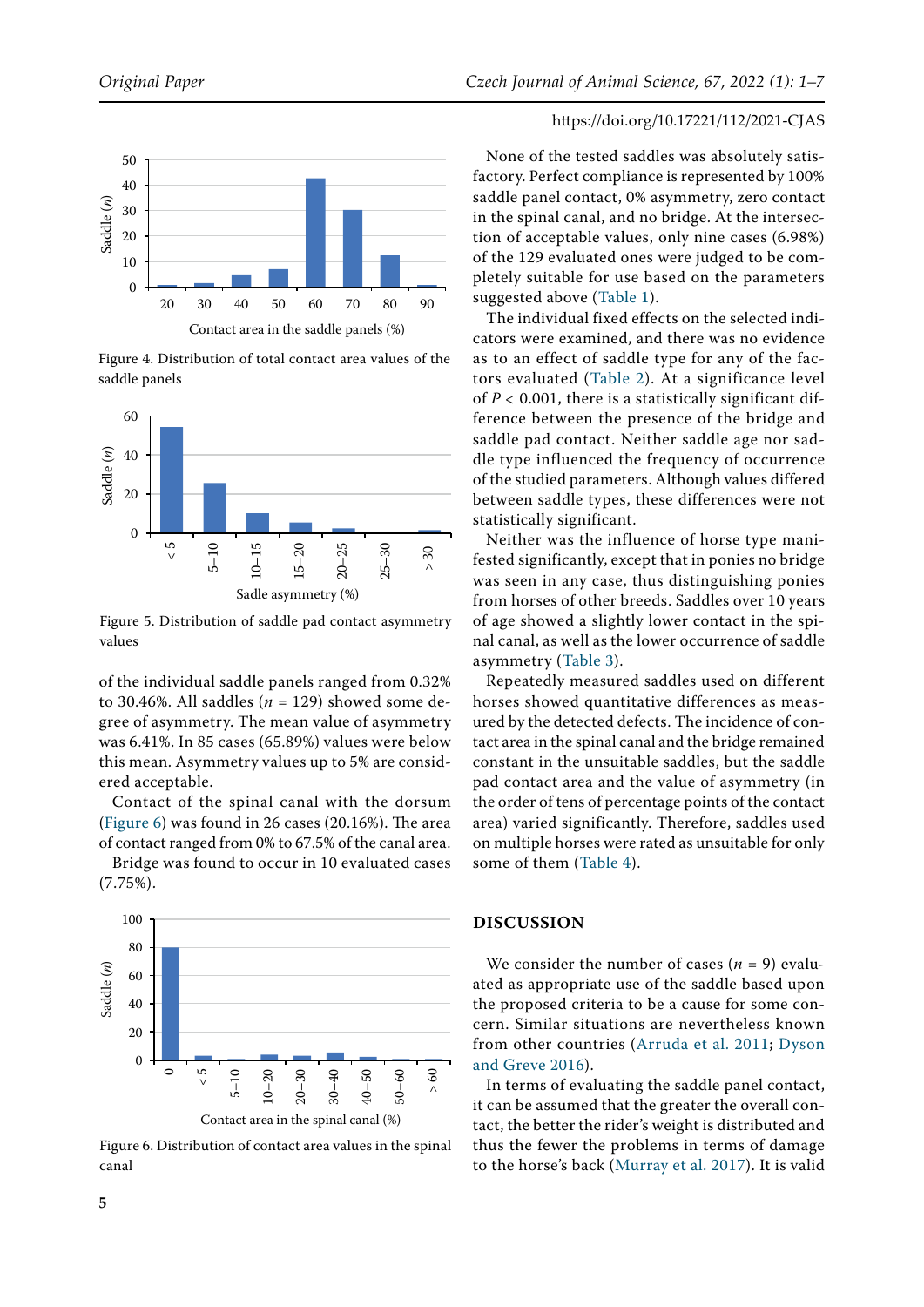<span id="page-4-0"></span>

Figure 4. Distribution of total contact area values of the saddle panels

<span id="page-4-1"></span>

Figure 5. Distribution of saddle pad contact asymmetry values

of the individual saddle panels ranged from 0.32% to 30.46%. All saddles (*n =* 129) showed some degree of asymmetry. The mean value of asymmetry was 6.41%. In 85 cases (65.89%) values were below this mean. Asymmetry values up to 5% are considered acceptable.

Contact of the spinal canal with the dorsum [\(Figure 6](#page-4-2)) was found in 26 cases (20.16%). The area of contact ranged from 0% to 67.5% of the canal area.

Bridge was found to occur in 10 evaluated cases (7.75%).

<span id="page-4-2"></span>

Figure 6. Distribution of contact area values in the spinal canal

## https://doi.org/10.17221/112/2021-CJAS

None of the tested saddles was absolutely satisfactory. Perfect compliance is represented by 100% saddle panel contact, 0% asymmetry, zero contact in the spinal canal, and no bridge. At the intersection of acceptable values, only nine cases (6.98%) of the 129 evaluated ones were judged to be completely suitable for use based on the parameters suggested above (Table 1).

The individual fixed effects on the selected indicators were examined, and there was no evidence as to an effect of saddle type for any of the factors evaluated (Table 2). At a significance level of *P <* 0.001, there is a statistically significant difference between the presence of the bridge and saddle pad contact. Neither saddle age nor saddle type influenced the frequency of occurrence of the studied parameters. Although values differed between saddle types, these differences were not statistically significant.

Neither was the influence of horse type manifested significantly, except that in ponies no bridge was seen in any case, thus distinguishing ponies from horses of other breeds. Saddles over 10 years of age showed a slightly lower contact in the spinal canal, as well as the lower occurrence of saddle asymmetry (Table 3).

Repeatedly measured saddles used on different horses showed quantitative differences as measured by the detected defects. The incidence of contact area in the spinal canal and the bridge remained constant in the unsuitable saddles, but the saddle pad contact area and the value of asymmetry (in the order of tens of percentage points of the contact area) varied significantly. Therefore, saddles used on multiple horses were rated as unsuitable for only some of them (Table 4).

## **Discussion**

We consider the number of cases (*n =* 9) evaluated as appropriate use of the saddle based upon the proposed criteria to be a cause for some concern. Similar situations are nevertheless known from other countries ([Arruda et al. 2011;](#page-6-2) [Dyson](#page-6-5) [and Greve 2016\)](#page-6-5).

In terms of evaluating the saddle panel contact, it can be assumed that the greater the overall contact, the better the rider's weight is distributed and thus the fewer the problems in terms of damage to the horse's back [\(Murray et al. 2017](#page-6-7)). It is valid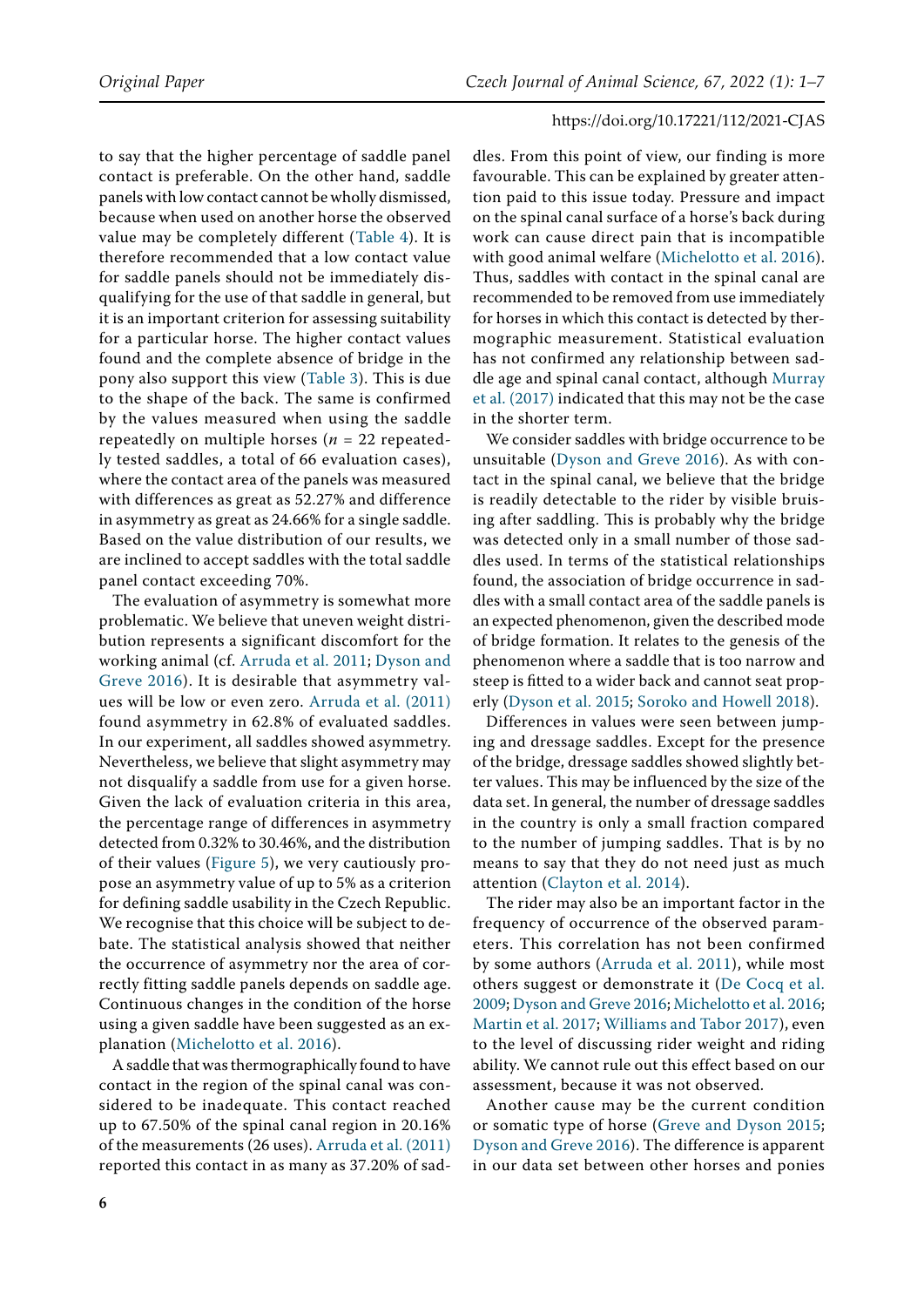to say that the higher percentage of saddle panel contact is preferable. On the other hand, saddle panels with low contact cannot be wholly dismissed, because when used on another horse the observed value may be completely different (Table 4). It is therefore recommended that a low contact value for saddle panels should not be immediately disqualifying for the use of that saddle in general, but it is an important criterion for assessing suitability for a particular horse. The higher contact values found and the complete absence of bridge in the pony also support this view (Table 3). This is due to the shape of the back. The same is confirmed by the values measured when using the saddle repeatedly on multiple horses (*n =* 22 repeatedly tested saddles, a total of 66 evaluation cases), where the contact area of the panels was measured with differences as great as 52.27% and difference in asymmetry as great as 24.66% for a single saddle. Based on the value distribution of our results, we are inclined to accept saddles with the total saddle panel contact exceeding 70%.

The evaluation of asymmetry is somewhat more problematic. We believe that uneven weight distribution represents a significant discomfort for the working animal (cf. [Arruda et al. 2011;](#page-6-2) [Dyson and](#page-6-5)  [Greve 2016\)](#page-6-5). It is desirable that asymmetry values will be low or even zero. [Arruda et al. \(2011\)](#page-6-2) found asymmetry in 62.8% of evaluated saddles. In our experiment, all saddles showed asymmetry. Nevertheless, we believe that slight asymmetry may not disqualify a saddle from use for a given horse. Given the lack of evaluation criteria in this area, the percentage range of differences in asymmetry detected from 0.32% to 30.46%, and the distribution of their values ([Figure 5\)](#page-4-1), we very cautiously propose an asymmetry value of up to 5% as a criterion for defining saddle usability in the Czech Republic. We recognise that this choice will be subject to debate. The statistical analysis showed that neither the occurrence of asymmetry nor the area of correctly fitting saddle panels depends on saddle age. Continuous changes in the condition of the horse using a given saddle have been suggested as an explanation ([Michelotto et al. 2016\)](#page-6-9).

A saddle that was thermographically found to have contact in the region of the spinal canal was considered to be inadequate. This contact reached up to 67.50% of the spinal canal region in 20.16% of the measurements (26 uses). [Arruda et al. \(2011\)](#page-6-2) reported this contact in as many as 37.20% of sad-

dles. From this point of view, our finding is more favourable. This can be explained by greater attention paid to this issue today. Pressure and impact on the spinal canal surface of a horse's back during work can cause direct pain that is incompatible with good animal welfare ([Michelotto et al. 2016](#page-6-9)). Thus, saddles with contact in the spinal canal are recommended to be removed from use immediately for horses in which this contact is detected by thermographic measurement. Statistical evaluation has not confirmed any relationship between saddle age and spinal canal contact, although [Murray](#page-6-7) [et al. \(2017\)](#page-6-7) indicated that this may not be the case in the shorter term.

We consider saddles with bridge occurrence to be unsuitable ([Dyson and Greve 2016\)](#page-6-5). As with contact in the spinal canal, we believe that the bridge is readily detectable to the rider by visible bruising after saddling. This is probably why the bridge was detected only in a small number of those saddles used. In terms of the statistical relationships found, the association of bridge occurrence in saddles with a small contact area of the saddle panels is an expected phenomenon, given the described mode of bridge formation. It relates to the genesis of the phenomenon where a saddle that is too narrow and steep is fitted to a wider back and cannot seat properly ([Dyson et al. 2015;](#page-6-11) [Soroko and Howell 2018\)](#page-6-1).

Differences in values were seen between jumping and dressage saddles. Except for the presence of the bridge, dressage saddles showed slightly better values. This may be influenced by the size of the data set. In general, the number of dressage saddles in the country is only a small fraction compared to the number of jumping saddles. That is by no means to say that they do not need just as much attention ([Clayton et al. 2014](#page-6-12)).

The rider may also be an important factor in the frequency of occurrence of the observed parameters. This correlation has not been confirmed by some authors ([Arruda et al. 2011\)](#page-6-2), while most others suggest or demonstrate it ([De Cocq et al.](#page-6-13) [2009](#page-6-13); [Dyson and Greve 2016;](#page-6-5) [Michelotto et al. 2016](#page-6-9); [Martin et al. 2017](#page-6-14); [Williams and Tabor 2017](#page-6-15)), even to the level of discussing rider weight and riding ability. We cannot rule out this effect based on our assessment, because it was not observed.

Another cause may be the current condition or somatic type of horse ([Greve and Dyson 2015](#page-6-8); [Dyson and Greve 2016](#page-6-5)). The difference is apparent in our data set between other horses and ponies